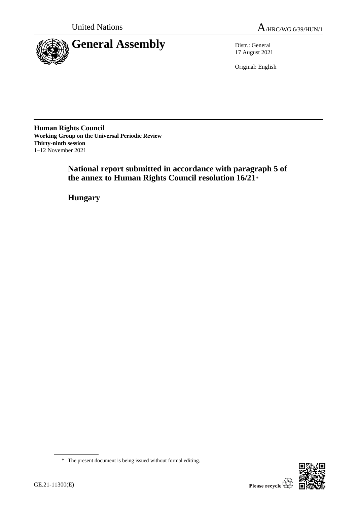



17 August 2021

Original: English

**Human Rights Council Working Group on the Universal Periodic Review Thirty-ninth session** 1–12 November 2021

> **National report submitted in accordance with paragraph 5 of the annex to Human Rights Council resolution 16/21**\*

**Hungary**



<sup>\*</sup> The present document is being issued without formal editing.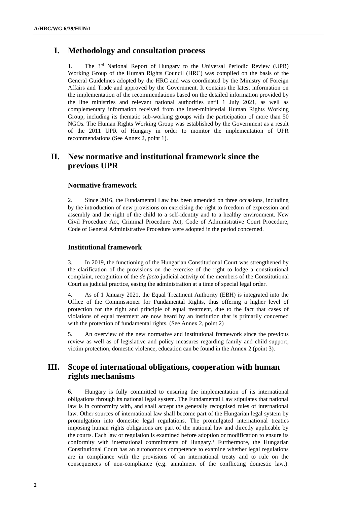# **I. Methodology and consultation process**

1. The 3rd National Report of Hungary to the Universal Periodic Review (UPR) Working Group of the Human Rights Council (HRC) was compiled on the basis of the General Guidelines adopted by the HRC and was coordinated by the Ministry of Foreign Affairs and Trade and approved by the Government. It contains the latest information on the implementation of the recommendations based on the detailed information provided by the line ministries and relevant national authorities until 1 July 2021, as well as complementary information received from the inter-ministerial Human Rights Working Group, including its thematic sub-working groups with the participation of more than 50 NGOs. The Human Rights Working Group was established by the Government as a result of the 2011 UPR of Hungary in order to monitor the implementation of UPR recommendations (See Annex 2, point 1).

# **II. New normative and institutional framework since the previous UPR**

### **Normative framework**

2. Since 2016, the Fundamental Law has been amended on three occasions, including by the introduction of new provisions on exercising the right to freedom of expression and assembly and the right of the child to a self-identity and to a healthy environment. New Civil Procedure Act, Criminal Procedure Act, Code of Administrative Court Procedure, Code of General Administrative Procedure were adopted in the period concerned.

### **Institutional framework**

3. In 2019, the functioning of the Hungarian Constitutional Court was strengthened by the clarification of the provisions on the exercise of the right to lodge a constitutional complaint, recognition of the *de facto* judicial activity of the members of the Constitutional Court as judicial practice, easing the administration at a time of special legal order.

4. As of 1 January 2021, the Equal Treatment Authority (EBH) is integrated into the Office of the Commissioner for Fundamental Rights, thus offering a higher level of protection for the right and principle of equal treatment, due to the fact that cases of violations of equal treatment are now heard by an institution that is primarily concerned with the protection of fundamental rights. (See Annex 2, point 2)

5. An overview of the new normative and institutional framework since the previous review as well as of legislative and policy measures regarding family and child support, victim protection, domestic violence, education can be found in the Annex 2 (point 3).

# **III. Scope of international obligations, cooperation with human rights mechanisms**

6. Hungary is fully committed to ensuring the implementation of its international obligations through its national legal system. The Fundamental Law stipulates that national law is in conformity with, and shall accept the generally recognised rules of international law. Other sources of international law shall become part of the Hungarian legal system by promulgation into domestic legal regulations. The promulgated international treaties imposing human rights obligations are part of the national law and directly applicable by the courts. Each law or regulation is examined before adoption or modification to ensure its conformity with international commitments of Hungary.<sup>1</sup> Furthermore, the Hungarian Constitutional Court has an autonomous competence to examine whether legal regulations are in compliance with the provisions of an international treaty and to rule on the consequences of non-compliance (e.g. annulment of the conflicting domestic law.).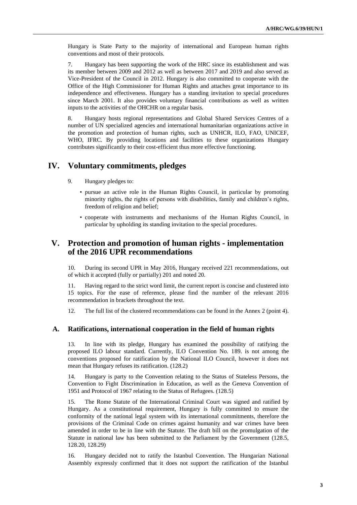Hungary is State Party to the majority of international and European human rights conventions and most of their protocols.

7. Hungary has been supporting the work of the HRC since its establishment and was its member between 2009 and 2012 as well as between 2017 and 2019 and also served as Vice-President of the Council in 2012. Hungary is also committed to cooperate with the Office of the High Commissioner for Human Rights and attaches great importance to its independence and effectiveness. Hungary has a standing invitation to special procedures since March 2001. It also provides voluntary financial contributions as well as written inputs to the activities of the OHCHR on a regular basis.

8. Hungary hosts regional representations and Global Shared Services Centres of a number of UN specialized agencies and international humanitarian organizations active in the promotion and protection of human rights, such as UNHCR, ILO, FAO, UNICEF, WHO, IFRC. By providing locations and facilities to these organizations Hungary contributes significantly to their cost-efficient thus more effective functioning.

# **IV. Voluntary commitments, pledges**

- 9. Hungary pledges to:
	- pursue an active role in the Human Rights Council, in particular by promoting minority rights, the rights of persons with disabilities, family and children's rights, freedom of religion and belief;
	- cooperate with instruments and mechanisms of the Human Rights Council, in particular by upholding its standing invitation to the special procedures.

# **V. Protection and promotion of human rights - implementation of the 2016 UPR recommendations**

10. During its second UPR in May 2016, Hungary received 221 recommendations, out of which it accepted (fully or partially) 201 and noted 20.

11. Having regard to the strict word limit, the current report is concise and clustered into 15 topics. For the ease of reference, please find the number of the relevant 2016 recommendation in brackets throughout the text.

12. The full list of the clustered recommendations can be found in the Annex 2 (point 4).

### **A. Ratifications, international cooperation in the field of human rights**

13. In line with its pledge, Hungary has examined the possibility of ratifying the proposed ILO labour standard. Currently, ILO Convention No. 189. is not among the conventions proposed for ratification by the National ILO Council, however it does not mean that Hungary refuses its ratification. (128.2)

14. Hungary is party to the Convention relating to the Status of Stateless Persons, the Convention to Fight Discrimination in Education, as well as the Geneva Convention of 1951 and Protocol of 1967 relating to the Status of Refugees. (128.5)

15. The Rome Statute of the International Criminal Court was signed and ratified by Hungary. As a constitutional requirement, Hungary is fully committed to ensure the conformity of the national legal system with its international commitments, therefore the provisions of the Criminal Code on crimes against humanity and war crimes have been amended in order to be in line with the Statute. The draft bill on the promulgation of the Statute in national law has been submitted to the Parliament by the Government (128.5, 128.20, 128.29)

16. Hungary decided not to ratify the Istanbul Convention. The Hungarian National Assembly expressly confirmed that it does not support the ratification of the Istanbul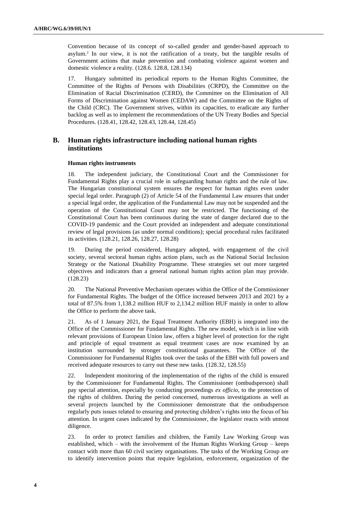Convention because of its concept of so-called gender and gender-based approach to asylum.<sup>2</sup> In our view, it is not the ratification of a treaty, but the tangible results of Government actions that make prevention and combating violence against women and domestic violence a reality. (128.6. 128.8, 128.134)

17. Hungary submitted its periodical reports to the Human Rights Committee, the Committee of the Rights of Persons with Disabilities (CRPD), the Committee on the Elimination of Racial Discrimination (CERD), the Committee on the Elimination of All Forms of Discrimination against Women (CEDAW) and the Committee on the Rights of the Child (CRC). The Government strives, within its capacities, to eradicate any further backlog as well as to implement the recommendations of the UN Treaty Bodies and Special Procedures. (128.41, 128.42, 128.43, 128.44, 128.45)

# **B. Human rights infrastructure including national human rights institutions**

#### **Human rights instruments**

18. The independent judiciary, the Constitutional Court and the Commissioner for Fundamental Rights play a crucial role in safeguarding human rights and the rule of law. The Hungarian constitutional system ensures the respect for human rights even under special legal order. Paragraph (2) of Article 54 of the Fundamental Law ensures that under a special legal order, the application of the Fundamental Law may not be suspended and the operation of the Constitutional Court may not be restricted. The functioning of the Constitutional Court has been continuous during the state of danger declared due to the COVID-19 pandemic and the Court provided an independent and adequate constitutional review of legal provisions (as under normal conditions); special procedural rules facilitated its activities. (128.21, 128.26, 128.27, 128.28)

19. During the period considered, Hungary adopted, with engagement of the civil society, several sectoral human rights action plans, such as the National Social Inclusion Strategy or the National Disability Programme. These strategies set out more targeted objectives and indicators than a general national human rights action plan may provide. (128.23)

20. The National Preventive Mechanism operates within the Office of the Commissioner for Fundamental Rights. The budget of the Office increased between 2013 and 2021 by a total of 87.5% from 1,138.2 million HUF to 2,134.2 million HUF mainly in order to allow the Office to perform the above task.

21. As of 1 January 2021, the Equal Treatment Authority (EBH) is integrated into the Office of the Commissioner for Fundamental Rights. The new model, which is in line with relevant provisions of European Union law, offers a higher level of protection for the right and principle of equal treatment as equal treatment cases are now examined by an institution surrounded by stronger constitutional guarantees. The Office of the Commissioner for Fundamental Rights took over the tasks of the EBH with full powers and received adequate resources to carry out these new tasks. (128.32, 128.55)

22. Independent monitoring of the implementation of the rights of the child is ensured by the Commissioner for Fundamental Rights. The Commissioner (ombudsperson) shall pay special attention, especially by conducting proceedings *ex officio*, to the protection of the rights of children. During the period concerned, numerous investigations as well as several projects launched by the Commissioner demonstrate that the ombudsperson regularly puts issues related to ensuring and protecting children's rights into the focus of his attention. In urgent cases indicated by the Commissioner, the legislator reacts with utmost diligence.

23. In order to protect families and children, the Family Law Working Group was established, which – with the involvement of the Human Rights Working Group – keeps contact with more than 60 civil society organisations. The tasks of the Working Group are to identify intervention points that require legislation, enforcement, organization of the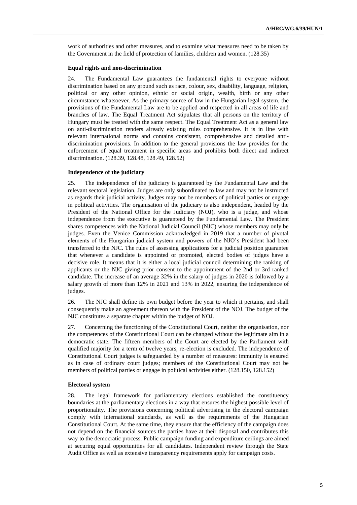work of authorities and other measures, and to examine what measures need to be taken by the Government in the field of protection of families, children and women. (128.35)

#### **Equal rights and non-discrimination**

24. The Fundamental Law guarantees the fundamental rights to everyone without discrimination based on any ground such as race, colour, sex, disability, language, religion, political or any other opinion, ethnic or social origin, wealth, birth or any other circumstance whatsoever. As the primary source of law in the Hungarian legal system, the provisions of the Fundamental Law are to be applied and respected in all areas of life and branches of law. The Equal Treatment Act stipulates that all persons on the territory of Hungary must be treated with the same respect. The Equal Treatment Act as a general law on anti-discrimination renders already existing rules comprehensive. It is in line with relevant international norms and contains consistent, comprehensive and detailed antidiscrimination provisions. In addition to the general provisions the law provides for the enforcement of equal treatment in specific areas and prohibits both direct and indirect discrimination. (128.39, 128.48, 128.49, 128.52)

#### **Independence of the judiciary**

25. The independence of the judiciary is guaranteed by the Fundamental Law and the relevant sectoral legislation. Judges are only subordinated to law and may not be instructed as regards their judicial activity. Judges may not be members of political parties or engage in political activities. The organisation of the judiciary is also independent, headed by the President of the National Office for the Judiciary (NOJ), who is a judge, and whose independence from the executive is guaranteed by the Fundamental Law. The President shares competences with the National Judicial Council (NJC) whose members may only be judges. Even the Venice Commission acknowledged in 2019 that a number of pivotal elements of the Hungarian judicial system and powers of the NJO's President had been transferred to the NJC. The rules of assessing applications for a judicial position guarantee that whenever a candidate is appointed or promoted, elected bodies of judges have a decisive role. It means that it is either a local judicial council determining the ranking of applicants or the NJC giving prior consent to the appointment of the 2nd or 3rd ranked candidate. The increase of an average 32% in the salary of judges in 2020 is followed by a salary growth of more than 12% in 2021 and 13% in 2022, ensuring the independence of judges.

26. The NJC shall define its own budget before the year to which it pertains, and shall consequently make an agreement thereon with the President of the NOJ. The budget of the NJC constitutes a separate chapter within the budget of NOJ.

27. Concerning the functioning of the Constitutional Court, neither the organisation, nor the competences of the Constitutional Court can be changed without the legitimate aim in a democratic state. The fifteen members of the Court are elected by the Parliament with qualified majority for a term of twelve years, re-election is excluded. The independence of Constitutional Court judges is safeguarded by a number of measures: immunity is ensured as in case of ordinary court judges; members of the Constitutional Court may not be members of political parties or engage in political activities either. (128.150, 128.152)

#### **Electoral system**

28. The legal framework for parliamentary elections established the constituency boundaries at the parliamentary elections in a way that ensures the highest possible level of proportionality. The provisions concerning political advertising in the electoral campaign comply with international standards, as well as the requirements of the Hungarian Constitutional Court. At the same time, they ensure that the efficiency of the campaign does not depend on the financial sources the parties have at their disposal and contributes this way to the democratic process. Public campaign funding and expenditure ceilings are aimed at securing equal opportunities for all candidates. Independent review through the State Audit Office as well as extensive transparency requirements apply for campaign costs.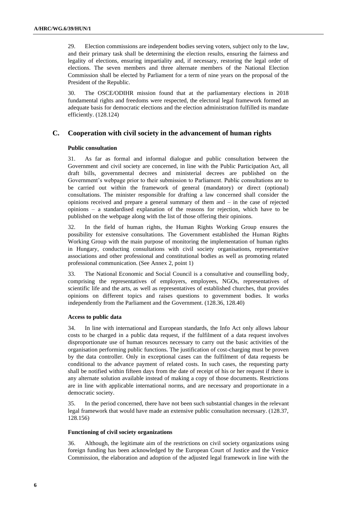29. Election commissions are independent bodies serving voters, subject only to the law, and their primary task shall be determining the election results, ensuring the fairness and legality of elections, ensuring impartiality and, if necessary, restoring the legal order of elections. The seven members and three alternate members of the National Election Commission shall be elected by Parliament for a term of nine years on the proposal of the President of the Republic.

30. The OSCE/ODIHR mission found that at the parliamentary elections in 2018 fundamental rights and freedoms were respected, the electoral legal framework formed an adequate basis for democratic elections and the election administration fulfilled its mandate efficiently. (128.124)

## **C. Cooperation with civil society in the advancement of human rights**

#### **Public consultation**

31. As far as formal and informal dialogue and public consultation between the Government and civil society are concerned, in line with the Public Participation Act, all draft bills, governmental decrees and ministerial decrees are published on the Government's webpage prior to their submission to Parliament. Public consultations are to be carried out within the framework of general (mandatory) or direct (optional) consultations. The minister responsible for drafting a law concerned shall consider the opinions received and prepare a general summary of them and – in the case of rejected opinions – a standardised explanation of the reasons for rejection, which have to be published on the webpage along with the list of those offering their opinions.

In the field of human rights, the Human Rights Working Group ensures the possibility for extensive consultations. The Government established the Human Rights Working Group with the main purpose of monitoring the implementation of human rights in Hungary, conducting consultations with civil society organisations, representative associations and other professional and constitutional bodies as well as promoting related professional communication. (See Annex 2, point 1)

33. The National Economic and Social Council is a consultative and counselling body, comprising the representatives of employers, employees, NGOs, representatives of scientific life and the arts, as well as representatives of established churches, that provides opinions on different topics and raises questions to government bodies. It works independently from the Parliament and the Government. (128.36, 128.40)

#### **Access to public data**

34. In line with international and European standards, the Info Act only allows labour costs to be charged in a public data request, if the fulfilment of a data request involves disproportionate use of human resources necessary to carry out the basic activities of the organisation performing public functions. The justification of cost-charging must be proven by the data controller. Only in exceptional cases can the fulfilment of data requests be conditional to the advance payment of related costs. In such cases, the requesting party shall be notified within fifteen days from the date of receipt of his or her request if there is any alternate solution available instead of making a copy of those documents. Restrictions are in line with applicable international norms, and are necessary and proportionate in a democratic society.

35. In the period concerned, there have not been such substantial changes in the relevant legal framework that would have made an extensive public consultation necessary. (128.37, 128.156)

#### **Functioning of civil society organizations**

36. Although, the legitimate aim of the restrictions on civil society organizations using foreign funding has been acknowledged by the European Court of Justice and the Venice Commission, the elaboration and adoption of the adjusted legal framework in line with the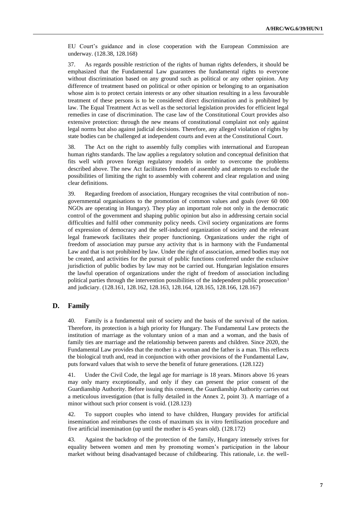EU Court's guidance and in close cooperation with the European Commission are underway. (128.38, 128.168)

37. As regards possible restriction of the rights of human rights defenders, it should be emphasized that the Fundamental Law guarantees the fundamental rights to everyone without discrimination based on any ground such as political or any other opinion. Any difference of treatment based on political or other opinion or belonging to an organisation whose aim is to protect certain interests or any other situation resulting in a less favourable treatment of these persons is to be considered direct discrimination and is prohibited by law. The Equal Treatment Act as well as the sectorial legislation provides for efficient legal remedies in case of discrimination. The case law of the Constitutional Court provides also extensive protection: through the new means of constitutional complaint not only against legal norms but also against judicial decisions. Therefore, any alleged violation of rights by state bodies can be challenged at independent courts and even at the Constitutional Court.

38. The Act on the right to assembly fully complies with international and European human rights standards. The law applies a regulatory solution and conceptual definition that fits well with proven foreign regulatory models in order to overcome the problems described above. The new Act facilitates freedom of assembly and attempts to exclude the possibilities of limiting the right to assembly with coherent and clear regulation and using clear definitions.

39. Regarding freedom of association, Hungary recognises the vital contribution of nongovernmental organisations to the promotion of common values and goals (over 60 000 NGOs are operating in Hungary). They play an important role not only in the democratic control of the government and shaping public opinion but also in addressing certain social difficulties and fulfil other community policy needs. Civil society organizations are forms of expression of democracy and the self-induced organization of society and the relevant legal framework facilitates their proper functioning. Organizations under the right of freedom of association may pursue any activity that is in harmony with the Fundamental Law and that is not prohibited by law. Under the right of association, armed bodies may not be created, and activities for the pursuit of public functions conferred under the exclusive jurisdiction of public bodies by law may not be carried out. Hungarian legislation ensures the lawful operation of organizations under the right of freedom of association including political parties through the intervention possibilities of the independent public prosecution<sup>3</sup> and judiciary. (128.161, 128.162, 128.163, 128.164, 128.165, 128.166, 128.167)

### **D. Family**

40. Family is a fundamental unit of society and the basis of the survival of the nation. Therefore, its protection is a high priority for Hungary. The Fundamental Law protects the institution of marriage as the voluntary union of a man and a woman, and the basis of family ties are marriage and the relationship between parents and children. Since 2020, the Fundamental Law provides that the mother is a woman and the father is a man. This reflects the biological truth and, read in conjunction with other provisions of the Fundamental Law, puts forward values that wish to serve the benefit of future generations. (128.122)

41. Under the Civil Code, the legal age for marriage is 18 years. Minors above 16 years may only marry exceptionally, and only if they can present the prior consent of the Guardianship Authority. Before issuing this consent, the Guardianship Authority carries out a meticulous investigation (that is fully detailed in the Annex 2, point 3). A marriage of a minor without such prior consent is void. (128.123)

42. To support couples who intend to have children, Hungary provides for artificial insemination and reimburses the costs of maximum six in vitro fertilisation procedure and five artificial insemination (up until the mother is 45 years old). (128.172)

43. Against the backdrop of the protection of the family, Hungary intensely strives for equality between women and men by promoting women's participation in the labour market without being disadvantaged because of childbearing. This rationale, i.e. the well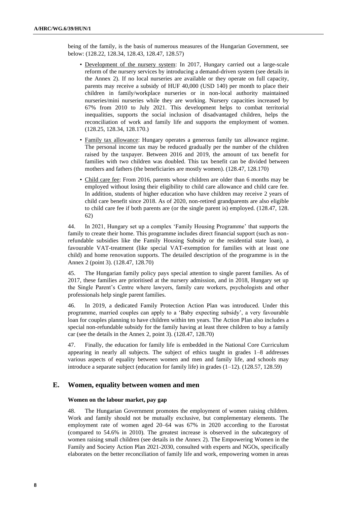being of the family, is the basis of numerous measures of the Hungarian Government, see below: (128.22, 128.34, 128.43, 128.47, 128.57)

- Development of the nursery system: In 2017, Hungary carried out a large-scale reform of the nursery services by introducing a demand-driven system (see details in the Annex 2). If no local nurseries are available or they operate on full capacity, parents may receive a subsidy of HUF 40,000 (USD 140) per month to place their children in family/workplace nurseries or in non-local authority maintained nurseries/mini nurseries while they are working. Nursery capacities increased by 67% from 2010 to July 2021. This development helps to combat territorial inequalities, supports the social inclusion of disadvantaged children, helps the reconciliation of work and family life and supports the employment of women. (128.25, 128.34, 128.170.)
- Family tax allowance: Hungary operates a generous family tax allowance regime. The personal income tax may be reduced gradually per the number of the children raised by the taxpayer. Between 2016 and 2019, the amount of tax benefit for families with two children was doubled. This tax benefit can be divided between mothers and fathers (the beneficiaries are mostly women). (128.47, 128.170)
- Child care fee: From 2016, parents whose children are older than 6 months may be employed without losing their eligibility to child care allowance and child care fee. In addition, students of higher education who have children may receive 2 years of child care benefit since 2018. As of 2020, non-retired grandparents are also eligible to child care fee if both parents are (or the single parent is) employed. (128.47, 128. 62)

44. In 2021, Hungary set up a complex 'Family Housing Programme' that supports the family to create their home. This programme includes direct financial support (such as nonrefundable subsidies like the Family Housing Subsidy or the residential state loan), a favourable VAT-treatment (like special VAT-exemption for families with at least one child) and home renovation supports. The detailed description of the programme is in the Annex 2 (point 3). (128.47, 128.70)

45. The Hungarian family policy pays special attention to single parent families. As of 2017, these families are prioritised at the nursery admission, and in 2018, Hungary set up the Single Parent's Centre where lawyers, family care workers, psychologists and other professionals help single parent families.

46. In 2019, a dedicated Family Protection Action Plan was introduced. Under this programme, married couples can apply to a 'Baby expecting subsidy', a very favourable loan for couples planning to have children within ten years. The Action Plan also includes a special non-refundable subsidy for the family having at least three children to buy a family car (see the details in the Annex 2, point 3). (128.47, 128.70)

47. Finally, the education for family life is embedded in the National Core Curriculum appearing in nearly all subjects. The subject of ethics taught in grades 1–8 addresses various aspects of equality between women and men and family life, and schools may introduce a separate subject (education for family life) in grades (1–12). (128.57, 128.59)

### **E. Women, equality between women and men**

#### **Women on the labour market, pay gap**

48. The Hungarian Government promotes the employment of women raising children. Work and family should not be mutually exclusive, but complementary elements. The employment rate of women aged 20–64 was 67% in 2020 according to the Eurostat (compared to 54.6% in 2010). The greatest increase is observed in the subcategory of women raising small children (see details in the Annex 2). The Empowering Women in the Family and Society Action Plan 2021-2030, consulted with experts and NGOs, specifically elaborates on the better reconciliation of family life and work, empowering women in areas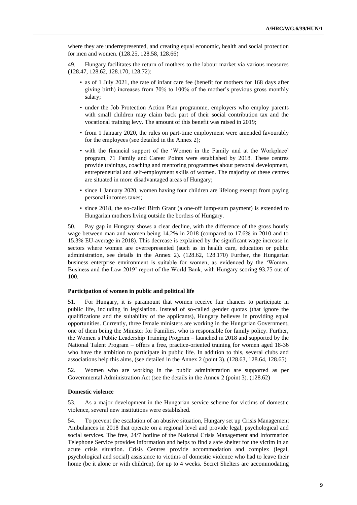where they are underrepresented, and creating equal economic, health and social protection for men and women. (128.25, 128.58, 128.66)

49. Hungary facilitates the return of mothers to the labour market via various measures (128.47, 128.62, 128.170, 128.72):

- as of 1 July 2021, the rate of infant care fee (benefit for mothers for 168 days after giving birth) increases from 70% to 100% of the mother's previous gross monthly salary;
- under the Job Protection Action Plan programme, employers who employ parents with small children may claim back part of their social contribution tax and the vocational training levy. The amount of this benefit was raised in 2019;
- from 1 January 2020, the rules on part-time employment were amended favourably for the employees (see detailed in the Annex 2);
- with the financial support of the 'Women in the Family and at the Workplace' program, 71 Family and Career Points were established by 2018. These centres provide trainings, coaching and mentoring programmes about personal development, entrepreneurial and self-employment skills of women. The majority of these centres are situated in more disadvantaged areas of Hungary;
- since 1 January 2020, women having four children are lifelong exempt from paying personal incomes taxes;
- since 2018, the so-called Birth Grant (a one-off lump-sum payment) is extended to Hungarian mothers living outside the borders of Hungary.

50. Pay gap in Hungary shows a clear decline, with the difference of the gross hourly wage between man and women being 14.2% in 2018 (compared to 17.6% in 2010 and to 15.3% EU-average in 2018). This decrease is explained by the significant wage increase in sectors where women are overrepresented (such as in health care, education or public administration, see details in the Annex 2). (128.62, 128.170) Further, the Hungarian business enterprise environment is suitable for women, as evidenced by the 'Women, Business and the Law 2019' report of the World Bank, with Hungary scoring 93.75 out of 100.

#### **Participation of women in public and political life**

51. For Hungary, it is paramount that women receive fair chances to participate in public life, including in legislation. Instead of so-called gender quotas (that ignore the qualifications and the suitability of the applicants), Hungary believes in providing equal opportunities. Currently, three female ministers are working in the Hungarian Government, one of them being the Minister for Families, who is responsible for family policy. Further, the Women's Public Leadership Training Program – launched in 2018 and supported by the National Talent Program – offers a free, practice-oriented training for women aged 18-36 who have the ambition to participate in public life. In addition to this, several clubs and associations help this aims, (see detailed in the Annex 2 (point 3). (128.63, 128.64, 128.65)

52. Women who are working in the public administration are supported as per Governmental Administration Act (see the details in the Annex 2 (point 3). (128.62)

#### **Domestic violence**

53. As a major development in the Hungarian service scheme for victims of domestic violence, several new institutions were established.

54. To prevent the escalation of an abusive situation, Hungary set up Crisis Management Ambulances in 2018 that operate on a regional level and provide legal, psychological and social services. The free, 24/7 hotline of the National Crisis Management and Information Telephone Service provides information and helps to find a safe shelter for the victim in an acute crisis situation. Crisis Centres provide accommodation and complex (legal, psychological and social) assistance to victims of domestic violence who had to leave their home (be it alone or with children), for up to 4 weeks. Secret Shelters are accommodating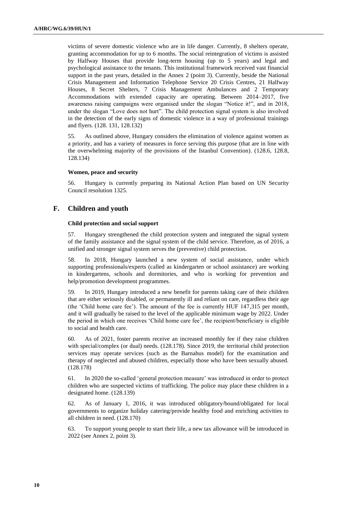victims of severe domestic violence who are in life danger. Currently, 8 shelters operate, granting accommodation for up to 6 months. The social reintegration of victims is assisted by Halfway Houses that provide long-term housing (up to 5 years) and legal and psychological assistance to the tenants. This institutional framework received vast financial support in the past years, detailed in the Annex 2 (point 3). Currently, beside the National Crisis Management and Information Telephone Service 20 Crisis Centres, 21 Halfway Houses, 8 Secret Shelters, 7 Crisis Management Ambulances and 2 Temporary Accommodations with extended capacity are operating. Between 2014–2017, five awareness raising campaigns were organised under the slogan "Notice it!", and in 2018, under the slogan "Love does not hurt". The child protection signal system is also involved in the detection of the early signs of domestic violence in a way of professional trainings and flyers. (128. 131, 128.132)

55. As outlined above, Hungary considers the elimination of violence against women as a priority, and has a variety of measures in force serving this purpose (that are in line with the overwhelming majority of the provisions of the Istanbul Convention). (128.6, 128.8, 128.134)

#### **Women, peace and security**

56. Hungary is currently preparing its National Action Plan based on UN Security Council resolution 1325.

## **F. Children and youth**

#### **Child protection and social support**

57. Hungary strengthened the child protection system and integrated the signal system of the family assistance and the signal system of the child service. Therefore, as of 2016, a unified and stronger signal system serves the (preventive) child protection.

58. In 2018, Hungary launched a new system of social assistance, under which supporting professionals/experts (called as kindergarten or school assistance) are working in kindergartens, schools and dormitories, and who is working for prevention and help/promotion development programmes.

59. In 2019, Hungary introduced a new benefit for parents taking care of their children that are either seriously disabled, or permanently ill and reliant on care, regardless their age (the 'Child home care fee'). The amount of the fee is currently HUF 147,315 per month, and it will gradually be raised to the level of the applicable minimum wage by 2022. Under the period in which one receives 'Child home care fee', the recipient/beneficiary is eligible to social and health care.

60. As of 2021, foster parents receive an increased monthly fee if they raise children with special/complex (or dual) needs. (128.178). Since 2019, the territorial child protection services may operate services (such as the Barnahus model) for the examination and therapy of neglected and abused children, especially those who have been sexually abused. (128.178)

61. In 2020 the so-called 'general protection measure' was introduced in order to protect children who are suspected victims of trafficking. The police may place these children in a designated home. (128.139)

62. As of January 1, 2016, it was introduced obligatory/bound/obligated for local governments to organize holiday catering/provide healthy food and enriching activities to all children in need. (128.170)

63. To support young people to start their life, a new tax allowance will be introduced in 2022 (see Annex 2, point 3).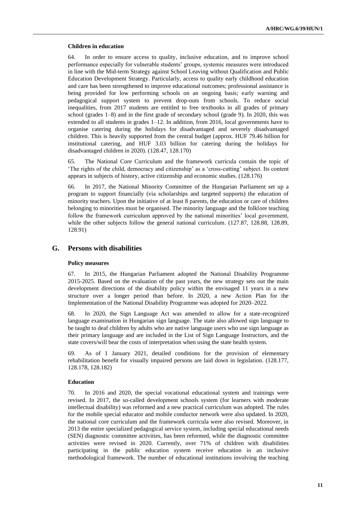#### **Children in education**

64. In order to ensure access to quality, inclusive education, and to improve school performance especially for vulnerable students' groups, systemic measures were introduced in line with the Mid-term Strategy against School Leaving without Qualification and Public Education Development Strategy. Particularly, access to quality early childhood education and care has been strengthened to improve educational outcomes; professional assistance is being provided for low performing schools on an ongoing basis; early warning and pedagogical support system to prevent drop-outs from schools. To reduce social inequalities, from 2017 students are entitled to free textbooks in all grades of primary school (grades 1–8) and in the first grade of secondary school (grade 9). In 2020, this was extended to all students in grades 1–12. In addition, from 2016, local governments have to organise catering during the holidays for disadvantaged and severely disadvantaged children. This is heavily supported from the central budget (approx. HUF 79.46 billion for institutional catering, and HUF 3.03 billion for catering during the holidays for disadvantaged children in 2020). (128.47, 128.170)

65. The National Core Curriculum and the framework curricula contain the topic of 'The rights of the child, democracy and citizenship' as a 'cross-cutting' subject. Its content appears in subjects of history, active citizenship and economic studies. (128.176)

66. In 2017, the National Minority Committee of the Hungarian Parliament set up a program to support financially (via scholarships and targeted supports) the education of minority teachers. Upon the initiative of at least 8 parents, the education or care of children belonging to minorities must be organised. The minority language and the folklore teaching follow the framework curriculum approved by the national minorities' local government, while the other subjects follow the general national curriculum. (127.87, 128.88, 128.89, 128.91)

### **G. Persons with disabilities**

#### **Policy measures**

67. In 2015, the Hungarian Parliament adopted the National Disability Programme 2015-2025. Based on the evaluation of the past years, the new strategy sets out the main development directions of the disability policy within the envisaged 11 years in a new structure over a longer period than before. In 2020, a new Action Plan for the Implementation of the National Disability Programme was adopted for 2020–2022.

68. In 2020, the Sign Language Act was amended to allow for a state-recognized language examination in Hungarian sign language. The state also allowed sign language to be taught to deaf children by adults who are native language users who use sign language as their primary language and are included in the List of Sign Language Instructors, and the state covers/will bear the costs of interpretation when using the state health system.

69. As of 1 January 2021, detailed conditions for the provision of elementary rehabilitation benefit for visually impaired persons are laid down in legislation. (128.177, 128.178, 128.182)

#### **Education**

70. In 2016 and 2020, the special vocational educational system and trainings were revised. In 2017, the so-called development schools system (for learners with moderate intellectual disability) was reformed and a new practical curriculum was adopted. The rules for the mobile special educator and mobile conductor network were also updated. In 2020, the national core curriculum and the framework curricula were also revised. Moreover, in 2013 the entire specialized pedagogical service system, including special educational needs (SEN) diagnostic committee activities, has been reformed, while the diagnostic committee activities were revised in 2020. Currently, over 71% of children with disabilities participating in the public education system receive education in an inclusive methodological framework. The number of educational institutions involving the teaching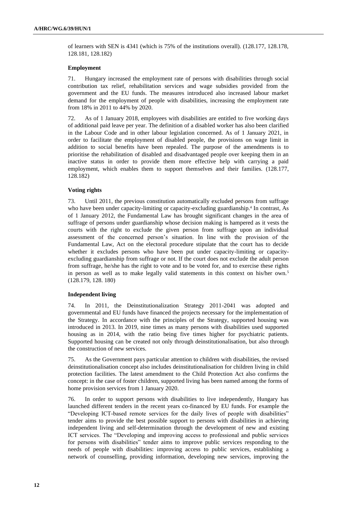of learners with SEN is 4341 (which is 75% of the institutions overall). (128.177, 128.178, 128.181, 128.182)

#### **Employment**

71. Hungary increased the employment rate of persons with disabilities through social contribution tax relief, rehabilitation services and wage subsidies provided from the government and the EU funds. The measures introduced also increased labour market demand for the employment of people with disabilities, increasing the employment rate from 18% in 2011 to 44% by 2020.

72. As of 1 January 2018, employees with disabilities are entitled to five working days of additional paid leave per year. The definition of a disabled worker has also been clarified in the Labour Code and in other labour legislation concerned. As of 1 January 2021, in order to facilitate the employment of disabled people, the provisions on wage limit in addition to social benefits have been repealed. The purpose of the amendments is to prioritise the rehabilitation of disabled and disadvantaged people over keeping them in an inactive status in order to provide them more effective help with carrying a paid employment, which enables them to support themselves and their families. (128.177, 128.182)

#### **Voting rights**

73. Until 2011, the previous constitution automatically excluded persons from suffrage who have been under capacity-limiting or capacity-excluding guardianship.<sup>4</sup> In contrast, As of 1 January 2012, the Fundamental Law has brought significant changes in the area of suffrage of persons under guardianship whose decision making is hampered as it vests the courts with the right to exclude the given person from suffrage upon an individual assessment of the concerned person's situation. In line with the provision of the Fundamental Law, Act on the electoral procedure stipulate that the court has to decide whether it excludes persons who have been put under capacity-limiting or capacityexcluding guardianship from suffrage or not. If the court does not exclude the adult person from suffrage, he/she has the right to vote and to be voted for, and to exercise these rights in person as well as to make legally valid statements in this context on his/her own.<sup>5</sup> (128.179, 128. 180)

#### **Independent living**

74. In 2011, the Deinstitutionalization Strategy 2011-2041 was adopted and governmental and EU funds have financed the projects necessary for the implementation of the Strategy. In accordance with the principles of the Strategy, supported housing was introduced in 2013. In 2019, nine times as many persons with disabilities used supported housing as in 2014, with the ratio being five times higher for psychiatric patients. Supported housing can be created not only through deinstitutionalisation, but also through the construction of new services.

75. As the Government pays particular attention to children with disabilities, the revised deinstitutionalisation concept also includes deinstitutionalisation for children living in child protection facilities. The latest amendment to the Child Protection Act also confirms the concept: in the case of foster children, supported living has been named among the forms of home provision services from 1 January 2020.

76. In order to support persons with disabilities to live independently, Hungary has launched different tenders in the recent years co-financed by EU funds. For example the "Developing ICT-based remote services for the daily lives of people with disabilities" tender aims to provide the best possible support to persons with disabilities in achieving independent living and self-determination through the development of new and existing ICT services. The "Developing and improving access to professional and public services for persons with disabilities" tender aims to improve public services responding to the needs of people with disabilities: improving access to public services, establishing a network of counselling, providing information, developing new services, improving the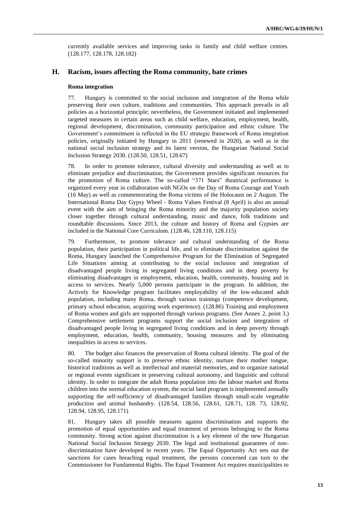currently available services and improving tasks in family and child welfare centres. (128.177, 128.178, 128.182)

### **H. Racism, issues affecting the Roma community, hate crimes**

#### **Roma integration**

77. Hungary is committed to the social inclusion and integration of the Roma while preserving their own culture, traditions and communities. This approach prevails in all policies as a horizontal principle; nevertheless, the Government initiated and implemented targeted measures in certain areas such as child welfare, education, employment, health, regional development, discrimination, community participation and ethnic culture. The Government's commitment is reflected in the EU strategic framework of Roma integration policies, originally initiated by Hungary in 2011 (renewed in 2020), as well as in the national social inclusion strategy and its latest version, the Hungarian National Social Inclusion Strategy 2030. (128.50, 128.51, 128.67)

78. In order to promote tolerance, cultural diversity and understanding as well as to eliminate prejudice and discrimination, the Government provides significant resources for the promotion of Roma culture. The so-called "371 Stars" theatrical performance is organized every year in collaboration with NGOs on the Day of Roma Courage and Youth (16 May) as well as commemorating the Roma victims of the Holocaust on 2 August. The International Roma Day Gypsy Wheel - Roma Values Festival (8 April) is also an annual event with the aim of bringing the Roma minority and the majority population society closer together through cultural understanding, music and dance, folk traditions and roundtable discussions. Since 2013, the culture and history of Roma and Gypsies are included in the National Core Curriculum. (128.46, 128.110, 128.115)

79. Furthermore, to promote tolerance and cultural understanding of the Roma population, their participation in political life, and to eliminate discrimination against the Roma, Hungary launched the Comprehensive Program for the Elimination of Segregated Life Situations aiming at contributing to the social inclusion and integration of disadvantaged people living in segregated living conditions and in deep poverty by eliminating disadvantages in employment, education, health, community, housing and in access to services. Nearly 5,000 persons participate in the program. In addition, the Actively for Knowledge program facilitates employability of the low-educated adult population, including many Roma, through various trainings (competence development, primary school education, acquiring work experience). (128.86) Training and employment of Roma women and girls are supported through various programs. (See Annex 2, point 3.) Comprehensive settlement programs support the social inclusion and integration of disadvantaged people living in segregated living conditions and in deep poverty through employment, education, health, community, housing measures and by eliminating inequalities in access to services.

80. The budget also finances the preservation of Roma cultural identity. The goal of the so-called minority support is to preserve ethnic identity, nurture their mother tongue, historical traditions as well as intellectual and material memories, and to organize national or regional events significant in preserving cultural autonomy, and linguistic and cultural identity. In order to integrate the adult Roma population into the labour market and Roma children into the normal education system, the social land program is implemented annually supporting the self-sufficiency of disadvantaged families through small-scale vegetable production and animal husbandry. (128.54, 128.56, 128.61, 128.71, 128. 73, 128.92, 128.94, 128.95, 128.171)

81. Hungary takes all possible measures against discrimination and supports the promotion of equal opportunities and equal treatment of persons belonging to the Roma community. Strong action against discrimination is a key element of the new Hungarian National Social Inclusion Strategy 2030. The legal and institutional guarantees of nondiscrimination have developed in recent years. The Equal Opportunity Act sets out the sanctions for cases breaching equal treatment, the persons concerned can turn to the Commissioner for Fundamental Rights. The Equal Treatment Act requires municipalities to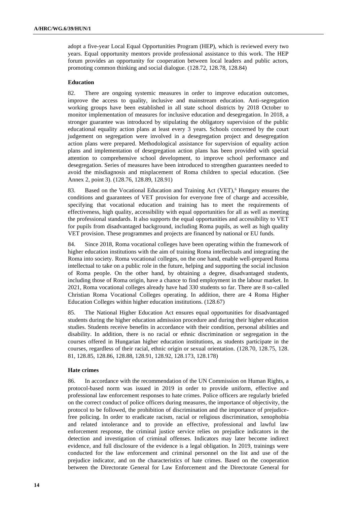adopt a five-year Local Equal Opportunities Program (HEP), which is reviewed every two years. Equal opportunity mentors provide professional assistance to this work. The HEP forum provides an opportunity for cooperation between local leaders and public actors, promoting common thinking and social dialogue. (128.72, 128.78, 128.84)

#### **Education**

82. There are ongoing systemic measures in order to improve education outcomes, improve the access to quality, inclusive and mainstream education. Anti-segregation working groups have been established in all state school districts by 2018 October to monitor implementation of measures for inclusive education and desegregation. In 2018, a stronger guarantee was introduced by stipulating the obligatory supervision of the public educational equality action plans at least every 3 years. Schools concerned by the court judgement on segregation were involved in a desegregation project and desegregation action plans were prepared. Methodological assistance for supervision of equality action plans and implementation of desegregation action plans has been provided with special attention to comprehensive school development, to improve school performance and desegregation. Series of measures have been introduced to strengthen guarantees needed to avoid the misdiagnosis and misplacement of Roma children to special education. (See Annex 2, point 3). (128.76, 128.89, 128.91)

83. Based on the Vocational Education and Training Act (VET),<sup>6</sup> Hungary ensures the conditions and guarantees of VET provision for everyone free of charge and accessible, specifying that vocational education and training has to meet the requirements of effectiveness, high quality, accessibility with equal opportunities for all as well as meeting the professional standards. It also supports the equal opportunities and accessibility to VET for pupils from disadvantaged background, including Roma pupils, as well as high quality VET provision. These programmes and projects are financed by national or EU funds.

84. Since 2018, Roma vocational colleges have been operating within the framework of higher education institutions with the aim of training Roma intellectuals and integrating the Roma into society. Roma vocational colleges, on the one hand, enable well-prepared Roma intellectual to take on a public role in the future, helping and supporting the social inclusion of Roma people. On the other hand, by obtaining a degree, disadvantaged students, including those of Roma origin, have a chance to find employment in the labour market. In 2021, Roma vocational colleges already have had 330 students so far. There are 8 so-called Christian Roma Vocational Colleges operating. In addition, there are 4 Roma Higher Education Colleges within higher education institutions. (128.67)

85. The National Higher Education Act ensures equal opportunities for disadvantaged students during the higher education admission procedure and during their higher education studies. Students receive benefits in accordance with their condition, personal abilities and disability. In addition, there is no racial or ethnic discrimination or segregation in the courses offered in Hungarian higher education institutions, as students participate in the courses, regardless of their racial, ethnic origin or sexual orientation. (128.70, 128.75, 128. 81, 128.85, 128.86, 128.88, 128.91, 128.92, 128.173, 128.178)

### **Hate crimes**

86. In accordance with the recommendation of the UN Commission on Human Rights, a protocol-based norm was issued in 2019 in order to provide uniform, effective and professional law enforcement responses to hate crimes. Police officers are regularly briefed on the correct conduct of police officers during measures, the importance of objectivity, the protocol to be followed, the prohibition of discrimination and the importance of prejudicefree policing. In order to eradicate racism, racial or religious discrimination, xenophobia and related intolerance and to provide an effective, professional and lawful law enforcement response, the criminal justice service relies on prejudice indicators in the detection and investigation of criminal offenses. Indicators may later become indirect evidence, and full disclosure of the evidence is a legal obligation. In 2019, trainings were conducted for the law enforcement and criminal personnel on the list and use of the prejudice indicator, and on the characteristics of hate crimes. Based on the cooperation between the Directorate General for Law Enforcement and the Directorate General for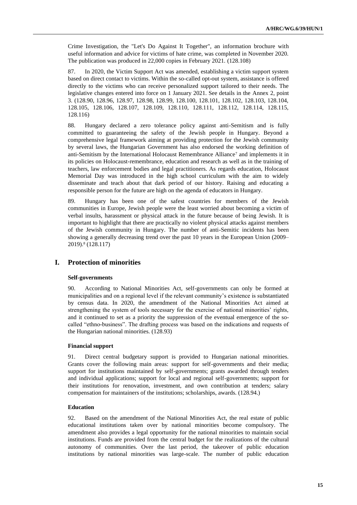Crime Investigation, the "Let's Do Against It Together", an information brochure with useful information and advice for victims of hate crime, was completed in November 2020. The publication was produced in 22,000 copies in February 2021. (128.108)

87. In 2020, the Victim Support Act was amended, establishing a victim support system based on direct contact to victims. Within the so-called opt-out system, assistance is offered directly to the victims who can receive personalized support tailored to their needs. The legislative changes entered into force on 1 January 2021. See details in the Annex 2, point 3. (128.90, 128.96, 128.97, 128.98, 128.99, 128.100, 128.101, 128.102, 128.103, 128.104, 128.105, 128.106, 128.107, 128.109, 128.110, 128.111, 128.112, 128.114, 128.115, 128.116)

88. Hungary declared a zero tolerance policy against anti-Semitism and is fully committed to guaranteeing the safety of the Jewish people in Hungary. Beyond a comprehensive legal framework aiming at providing protection for the Jewish community by several laws, the Hungarian Government has also endorsed the working definition of anti-Semitism by the International Holocaust Remembrance Alliance<sup>7</sup> and implements it in its policies on Holocaust-remembrance, education and research as well as in the training of teachers, law enforcement bodies and legal practitioners. As regards education, Holocaust Memorial Day was introduced in the high school curriculum with the aim to widely disseminate and teach about that dark period of our history. Raising and educating a responsible person for the future are high on the agenda of educators in Hungary.

89. Hungary has been one of the safest countries for members of the Jewish communities in Europe, Jewish people were the least worried about becoming a victim of verbal insults, harassment or physical attack in the future because of being Jewish. It is important to highlight that there are practically no violent physical attacks against members of the Jewish community in Hungary. The number of anti-Semitic incidents has been showing a generally decreasing trend over the past 10 years in the European Union (2009– 2019).<sup>8</sup> (128.117)

## **I. Protection of minorities**

#### **Self-governments**

90. According to National Minorities Act, self-governments can only be formed at municipalities and on a regional level if the relevant community's existence is substantiated by census data. In 2020, the amendment of the National Minorities Act aimed at strengthening the system of tools necessary for the exercise of national minorities' rights, and it continued to set as a priority the suppression of the eventual emergence of the socalled "ethno-business". The drafting process was based on the indications and requests of the Hungarian national minorities. (128.93)

#### **Financial support**

91. Direct central budgetary support is provided to Hungarian national minorities. Grants cover the following main areas: support for self-governments and their media; support for institutions maintained by self-governments; grants awarded through tenders and individual applications; support for local and regional self-governments; support for their institutions for renovation, investment, and own contribution at tenders; salary compensation for maintainers of the institutions; scholarships, awards. (128.94.)

#### **Education**

92. Based on the amendment of the National Minorities Act, the real estate of public educational institutions taken over by national minorities become compulsory. The amendment also provides a legal opportunity for the national minorities to maintain social institutions. Funds are provided from the central budget for the realizations of the cultural autonomy of communities. Over the last period, the takeover of public education institutions by national minorities was large-scale. The number of public education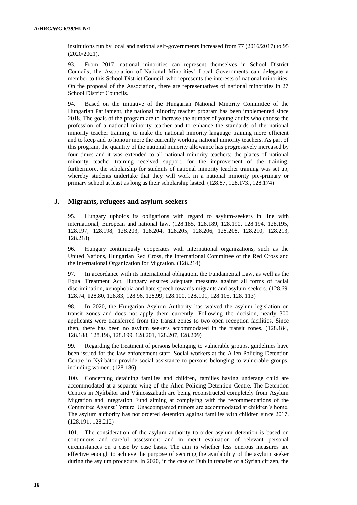institutions run by local and national self-governments increased from 77 (2016/2017) to 95 (2020/2021).

93. From 2017, national minorities can represent themselves in School District Councils, the Association of National Minorities' Local Governments can delegate a member to this School District Council, who represents the interests of national minorities. On the proposal of the Association, there are representatives of national minorities in 27 School District Councils.

94. Based on the initiative of the Hungarian National Minority Committee of the Hungarian Parliament, the national minority teacher program has been implemented since 2018. The goals of the program are to increase the number of young adults who choose the profession of a national minority teacher and to enhance the standards of the national minority teacher training, to make the national minority language training more efficient and to keep and to honour more the currently working national minority teachers. As part of this program, the quantity of the national minority allowance has progressively increased by four times and it was extended to all national minority teachers; the places of national minority teacher training received support, for the improvement of the training, furthermore, the scholarship for students of national minority teacher training was set up, whereby students undertake that they will work in a national minority pre-primary or primary school at least as long as their scholarship lasted. (128.87, 128.173., 128.174)

### **J. Migrants, refugees and asylum-seekers**

95. Hungary upholds its obligations with regard to asylum-seekers in line with international, European and national law. (128.185, 128.189, 128.190, 128.194, 128.195, 128.197, 128.198, 128.203, 128.204, 128.205, 128.206, 128.208, 128.210, 128.213, 128.218)

96. Hungary continuously cooperates with international organizations, such as the United Nations, Hungarian Red Cross, the International Committee of the Red Cross and the International Organization for Migration. (128.214)

97. In accordance with its international obligation, the Fundamental Law, as well as the Equal Treatment Act, Hungary ensures adequate measures against all forms of racial discrimination, xenophobia and hate speech towards migrants and asylum-seekers. (128.69. 128.74, 128.80, 128.83, 128.96, 128.99, 128.100, 128.101, 128.105, 128. 113)

98. In 2020, the Hungarian Asylum Authority has waived the asylum legislation on transit zones and does not apply them currently. Following the decision, nearly 300 applicants were transferred from the transit zones to two open reception facilities. Since then, there has been no asylum seekers accommodated in the transit zones. (128.184, 128.188, 128.196, 128.199, 128.201, 128.207, 128.209)

99. Regarding the treatment of persons belonging to vulnerable groups, guidelines have been issued for the law-enforcement staff. Social workers at the Alien Policing Detention Centre in Nyírbátor provide social assistance to persons belonging to vulnerable groups, including women. (128.186)

100. Concerning detaining families and children, families having underage child are accommodated at a separate wing of the Alien Policing Detention Centre. The Detention Centres in Nyírbátor and Vámosszabadi are being reconstructed completely from Asylum Migration and Integration Fund aiming at complying with the recommendations of the Committee Against Torture. Unaccompanied minors are accommodated at children's home. The asylum authority has not ordered detention against families with children since 2017. (128.191, 128.212)

101. The consideration of the asylum authority to order asylum detention is based on continuous and careful assessment and in merit evaluation of relevant personal circumstances on a case by case basis. The aim is whether less onerous measures are effective enough to achieve the purpose of securing the availability of the asylum seeker during the asylum procedure. In 2020, in the case of Dublin transfer of a Syrian citizen, the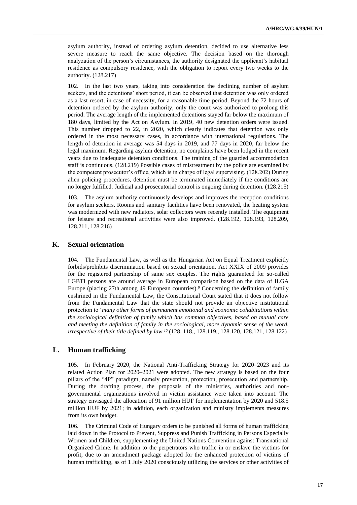asylum authority, instead of ordering asylum detention, decided to use alternative less severe measure to reach the same objective. The decision based on the thorough analyzation of the person's circumstances, the authority designated the applicant's habitual residence as compulsory residence, with the obligation to report every two weeks to the authority. (128.217)

102. In the last two years, taking into consideration the declining number of asylum seekers, and the detentions' short period, it can be observed that detention was only ordered as a last resort, in case of necessity, for a reasonable time period. Beyond the 72 hours of detention ordered by the asylum authority, only the court was authorized to prolong this period. The average length of the implemented detentions stayed far below the maximum of 180 days, limited by the Act on Asylum. In 2019, 40 new detention orders were issued. This number dropped to 22, in 2020, which clearly indicates that detention was only ordered in the most necessary cases, in accordance with international regulations. The length of detention in average was 54 days in 2019, and 77 days in 2020, far below the legal maximum. Regarding asylum detention, no complaints have been lodged in the recent years due to inadequate detention conditions. The training of the guarded accommodation staff is continuous. (128.219) Possible cases of mistreatment by the police are examined by the competent prosecutor's office, which is in charge of legal supervising. (128.202) During alien policing procedures, detention must be terminated immediately if the conditions are no longer fulfilled. Judicial and prosecutorial control is ongoing during detention. (128.215)

103. The asylum authority continuously develops and improves the reception conditions for asylum seekers. Rooms and sanitary facilities have been renovated, the heating system was modernized with new radiators, solar collectors were recently installed. The equipment for leisure and recreational activities were also improved. (128.192, 128.193, 128.209, 128.211, 128.216)

### **K. Sexual orientation**

104. The Fundamental Law, as well as the Hungarian Act on Equal Treatment explicitly forbids/prohibits discrimination based on sexual orientation. Act XXIX of 2009 provides for the registered partnership of same sex couples. The rights guaranteed for so-called LGBTI persons are around average in European comparison based on the data of ILGA Europe (placing 27th among 49 European countries).<sup>9</sup> Concerning the definition of family enshrined in the Fundamental Law, the Constitutional Court stated that it does not follow from the Fundamental Law that the state should not provide an objective institutional protection to '*many other forms of permanent emotional and economic cohabitations within the sociological definition of family which has common objectives, based on mutual care and meeting the definition of family in the sociological, more dynamic sense of the word, irrespective of their title defined by law.<sup>10</sup>* (128. 118., 128.119., 128.120, 128.121, 128.122)

## **L. Human trafficking**

105. In February 2020, the National Anti-Trafficking Strategy for 2020–2023 and its related Action Plan for 2020–2021 were adopted. The new strategy is based on the four pillars of the "4P" paradigm, namely prevention, protection, prosecution and partnership. During the drafting process, the proposals of the ministries, authorities and nongovernmental organizations involved in victim assistance were taken into account. The strategy envisaged the allocation of 91 million HUF for implementation by 2020 and 518.5 million HUF by 2021; in addition, each organization and ministry implements measures from its own budget.

106. The Criminal Code of Hungary orders to be punished all forms of human trafficking laid down in the Protocol to Prevent, Suppress and Punish Trafficking in Persons Especially Women and Children, supplementing the United Nations Convention against Transnational Organized Crime. In addition to the perpetrators who traffic in or enslave the victims for profit, due to an amendment package adopted for the enhanced protection of victims of human trafficking, as of 1 July 2020 consciously utilizing the services or other activities of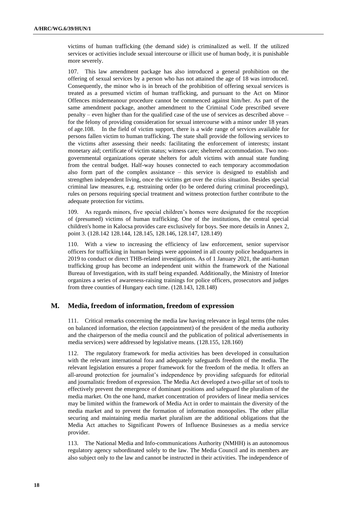victims of human trafficking (the demand side) is criminalized as well. If the utilized services or activities include sexual intercourse or illicit use of human body, it is punishable more severely.

107. This law amendment package has also introduced a general prohibition on the offering of sexual services by a person who has not attained the age of 18 was introduced. Consequently, the minor who is in breach of the prohibition of offering sexual services is treated as a presumed victim of human trafficking, and pursuant to the Act on Minor Offences misdemeanour procedure cannot be commenced against him/her. As part of the same amendment package, another amendment to the Criminal Code prescribed severe penalty – even higher than for the qualified case of the use of services as described above – for the felony of providing consideration for sexual intercourse with a minor under 18 years of age.108. In the field of victim support, there is a wide range of services available for persons fallen victim to human trafficking. The state shall provide the following services to the victims after assessing their needs: facilitating the enforcement of interests; instant monetary aid; certificate of victim status; witness care; sheltered accommodation. Two nongovernmental organizations operate shelters for adult victims with annual state funding from the central budget. Half-way houses connected to each temporary accommodation also form part of the complex assistance – this service is designed to establish and strengthen independent living, once the victims get over the crisis situation. Besides special criminal law measures, e.g. restraining order (to be ordered during criminal proceedings), rules on persons requiring special treatment and witness protection further contribute to the adequate protection for victims.

109. As regards minors, five special children's homes were designated for the reception of (presumed) victims of human trafficking. One of the institutions, the central special children's home in Kalocsa provides care exclusively for boys. See more details in Annex 2, point 3. (128.142 128.144, 128.145, 128.146, 128.147, 128.149)

110. With a view to increasing the efficiency of law enforcement, senior supervisor officers for trafficking in human beings were appointed in all county police headquarters in 2019 to conduct or direct THB-related investigations. As of 1 January 2021, the anti-human trafficking group has become an independent unit within the framework of the National Bureau of Investigation, with its staff being expanded. Additionally, the Ministry of Interior organizes a series of awareness-raising trainings for police officers, prosecutors and judges from three counties of Hungary each time. (128.143, 128.148)

## **M. Media, freedom of information, freedom of expression**

111. Critical remarks concerning the media law having relevance in legal terms (the rules on balanced information, the election (appointment) of the president of the media authority and the chairperson of the media council and the publication of political advertisements in media services) were addressed by legislative means. (128.155, 128.160)

112. The regulatory framework for media activities has been developed in consultation with the relevant international fora and adequately safeguards freedom of the media. The relevant legislation ensures a proper framework for the freedom of the media. It offers an all-around protection for journalist's independence by providing safeguards for editorial and journalistic freedom of expression. The Media Act developed a two-pillar set of tools to effectively prevent the emergence of dominant positions and safeguard the pluralism of the media market. On the one hand, market concentration of providers of linear media services may be limited within the framework of Media Act in order to maintain the diversity of the media market and to prevent the formation of information monopolies. The other pillar securing and maintaining media market pluralism are the additional obligations that the Media Act attaches to Significant Powers of Influence Businesses as a media service provider.

113. The National Media and Info-communications Authority (NMHH) is an autonomous regulatory agency subordinated solely to the law. The Media Council and its members are also subject only to the law and cannot be instructed in their activities. The independence of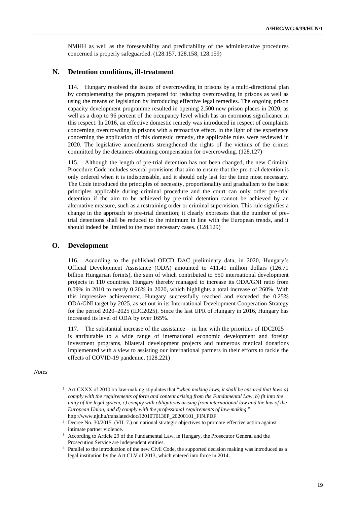NMHH as well as the foreseeability and predictability of the administrative procedures concerned is properly safeguarded. (128.157, 128.158, 128.159)

### **N. Detention conditions, ill-treatment**

114. Hungary resolved the issues of overcrowding in prisons by a multi-directional plan by complementing the program prepared for reducing overcrowding in prisons as well as using the means of legislation by introducing effective legal remedies. The ongoing prison capacity development programme resulted in opening 2.500 new prison places in 2020, as well as a drop to 96 percent of the occupancy level which has an enormous significance in this respect. In 2016, an effective domestic remedy was introduced in respect of complaints concerning overcrowding in prisons with a retroactive effect. In the light of the experience concerning the application of this domestic remedy, the applicable rules were reviewed in 2020. The legislative amendments strengthened the rights of the victims of the crimes committed by the detainees obtaining compensation for overcrowding. (128.127)

115. Although the length of pre-trial detention has not been changed, the new Criminal Procedure Code includes several provisions that aim to ensure that the pre-trial detention is only ordered when it is indispensable, and it should only last for the time most necessary. The Code introduced the principles of necessity, proportionality and gradualism to the basic principles applicable during criminal procedure and the court can only order pre-trial detention if the aim to be achieved by pre-trial detention cannot be achieved by an alternative measure, such as a restraining order or criminal supervision. This rule signifies a change in the approach to pre-trial detention; it clearly expresses that the number of pretrial detentions shall be reduced to the minimum in line with the European trends, and it should indeed be limited to the most necessary cases. (128.129)

### **O. Development**

116. According to the published OECD DAC preliminary data, in 2020, Hungary's Official Development Assistance (ODA) amounted to 411.41 million dollars (126.71 billion Hungarian forints), the sum of which contributed to 550 international development projects in 110 countries. Hungary thereby managed to increase its ODA/GNI ratio from 0.09% in 2010 to nearly 0.26% in 2020, which highlights a total increase of 260%. With this impressive achievement, Hungary successfully reached and exceeded the 0.25% ODA/GNI target by 2025, as set out in its International Development Cooperation Strategy for the period 2020–2025 (IDC2025). Since the last UPR of Hungary in 2016, Hungary has increased its level of ODA by over 165%.

117. The substantial increase of the assistance – in line with the priorities of IDC2025 – is attributable to a wide range of international economic development and foreign investment programs, bilateral development projects and numerous medical donations implemented with a view to assisting our international partners in their efforts to tackle the effects of COVID-19 pandemic. (128.221)

*Notes*

- <sup>1</sup> Act CXXX of 2010 on law-making stipulates that "*when making laws, it shall be ensured that laws a) comply with the requirements of form and content arising from the Fundamental Law, b) fit into the unity of the legal system, c) comply with obligations arising from international law and the law of the European Union, and d) comply with the professional requirements of law-making*." [http://www.njt.hu/translated/doc/J2010T0130P\\_20200101\\_FIN.PDF](http://www.njt.hu/translated/doc/J2010T0130P_20200101_FIN.PDF)
- <sup>2</sup> Decree No. 30/2015. (VII. 7.) on national strategic objectives to promote effective action against intimate partner violence.
- <sup>3</sup> According to Article 29 of the Fundamental Law, in Hungary, the Prosecutor General and the Prosecution Service are independent entities.
- <sup>4</sup> Parallel to the introduction of the new Civil Code, the supported decision making was introduced as a legal institution by the Act CLV of 2013, which entered into force in 2014.